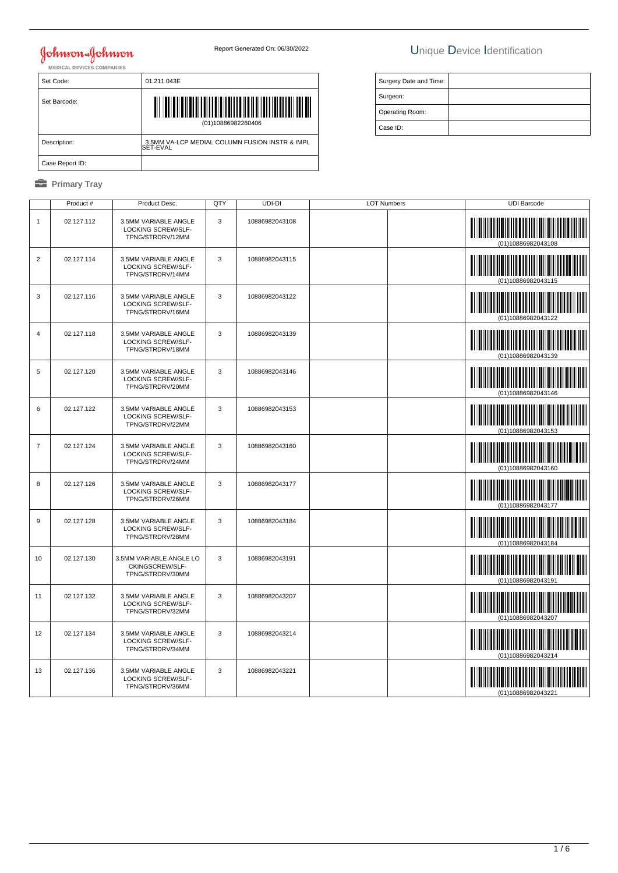# **Johnson & Johnson**

### Report Generated On: 06/30/2022 Unique Device Identification

| Surgery Date and Time: |  |
|------------------------|--|
| Surgeon:               |  |
| Operating Room:        |  |
| Case ID:               |  |

| Set Code:       | 01.211.043E                                                |  |  |  |
|-----------------|------------------------------------------------------------|--|--|--|
| Set Barcode:    | (01)10886982260406                                         |  |  |  |
| Description:    | 3.5MM VA-LCP MEDIAL COLUMN FUSION INSTR & IMPL<br>SET-EVAL |  |  |  |
| Case Report ID: |                                                            |  |  |  |

|                | Product#   | Product Desc.                                                  | QTY | UDI-DI         | <b>LOT Numbers</b> |  | <b>UDI Barcode</b> |
|----------------|------------|----------------------------------------------------------------|-----|----------------|--------------------|--|--------------------|
| $\mathbf{1}$   | 02.127.112 | 3.5MM VARIABLE ANGLE<br>LOCKING SCREW/SLF-<br>TPNG/STRDRV/12MM | 3   | 10886982043108 |                    |  | (01)10886982043108 |
| $\overline{2}$ | 02.127.114 | 3.5MM VARIABLE ANGLE<br>LOCKING SCREW/SLF-<br>TPNG/STRDRV/14MM | 3   | 10886982043115 |                    |  | (01)10886982043115 |
| 3              | 02.127.116 | 3.5MM VARIABLE ANGLE<br>LOCKING SCREW/SLF-<br>TPNG/STRDRV/16MM | 3   | 10886982043122 |                    |  | (01)10886982043122 |
| 4              | 02.127.118 | 3.5MM VARIABLE ANGLE<br>LOCKING SCREW/SLF-<br>TPNG/STRDRV/18MM | 3   | 10886982043139 |                    |  | (01)10886982043139 |
| 5              | 02.127.120 | 3.5MM VARIABLE ANGLE<br>LOCKING SCREW/SLF-<br>TPNG/STRDRV/20MM | 3   | 10886982043146 |                    |  | 01)10886982043146  |
| 6              | 02.127.122 | 3.5MM VARIABLE ANGLE<br>LOCKING SCREW/SLF-<br>TPNG/STRDRV/22MM | 3   | 10886982043153 |                    |  | (01)10886982043153 |
| $\overline{7}$ | 02.127.124 | 3.5MM VARIABLE ANGLE<br>LOCKING SCREW/SLF-<br>TPNG/STRDRV/24MM | 3   | 10886982043160 |                    |  | (01)10886982043160 |
| 8              | 02.127.126 | 3.5MM VARIABLE ANGLE<br>LOCKING SCREW/SLF-<br>TPNG/STRDRV/26MM | 3   | 10886982043177 |                    |  | (01)10886982043177 |
| 9              | 02.127.128 | 3.5MM VARIABLE ANGLE<br>LOCKING SCREW/SLF-<br>TPNG/STRDRV/28MM | 3   | 10886982043184 |                    |  | (01)10886982043184 |
| 10             | 02.127.130 | 3.5MM VARIABLE ANGLE LO<br>CKINGSCREW/SLF-<br>TPNG/STRDRV/30MM | 3   | 10886982043191 |                    |  | (01)10886982043191 |
| 11             | 02.127.132 | 3.5MM VARIABLE ANGLE<br>LOCKING SCREW/SLF-<br>TPNG/STRDRV/32MM | 3   | 10886982043207 |                    |  | (01)10886982043207 |
| 12             | 02.127.134 | 3.5MM VARIABLE ANGLE<br>LOCKING SCREW/SLF-<br>TPNG/STRDRV/34MM | 3   | 10886982043214 |                    |  | (01)10886982043214 |
| 13             | 02.127.136 | 3.5MM VARIABLE ANGLE<br>LOCKING SCREW/SLF-<br>TPNG/STRDRV/36MM | 3   | 10886982043221 |                    |  | (01)10886982043221 |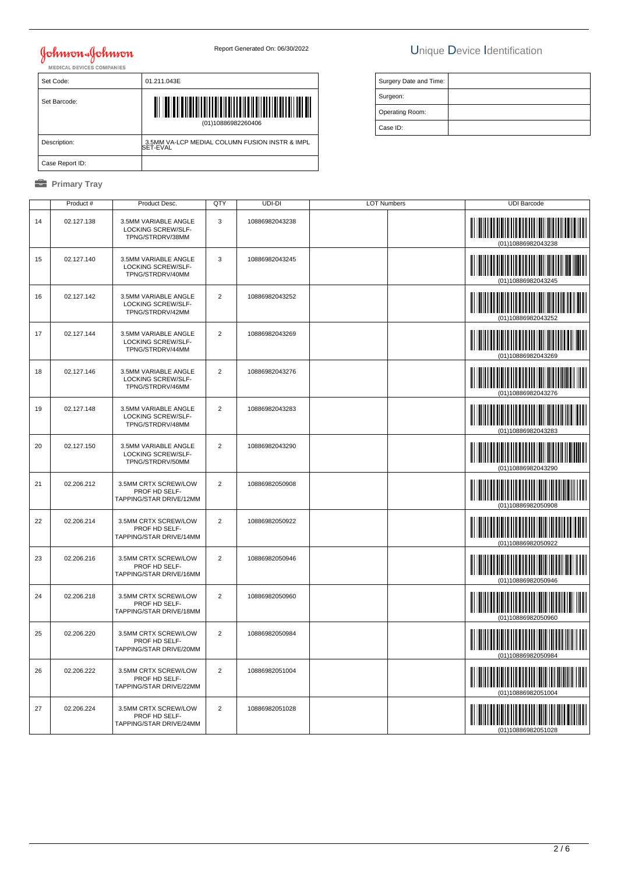# **Johnson & Johnson**

### Report Generated On: 06/30/2022 Unique Device Identification

| $-2$ |                                                            |                     |
|------|------------------------------------------------------------|---------------------|
|      | 01.211.043E                                                | <b>Surgery Date</b> |
|      |                                                            | Surgeon:            |
|      |                                                            | Operating Ro        |
|      | (01)10886982260406                                         | Case ID:            |
|      | 3.5MM VA-LCP MEDIAL COLUMN FUSION INSTR & IMPL<br>SET-EVAL |                     |
|      |                                                            |                     |

Case Report ID:

Set Code:

Set Barcode:

Description:

|    | Product #  | Product Desc.                                                         | QTY            | UDI-DI         | <b>LOT Numbers</b> |  | <b>UDI Barcode</b>                                                                                                                          |
|----|------------|-----------------------------------------------------------------------|----------------|----------------|--------------------|--|---------------------------------------------------------------------------------------------------------------------------------------------|
| 14 | 02.127.138 | 3.5MM VARIABLE ANGLE<br>LOCKING SCREW/SLF-<br>TPNG/STRDRV/38MM        | 3              | 10886982043238 |                    |  |                                                                                                                                             |
| 15 | 02.127.140 | 3.5MM VARIABLE ANGLE<br><b>LOCKING SCREW/SLF-</b><br>TPNG/STRDRV/40MM | 3              | 10886982043245 |                    |  | (01)10886982043245                                                                                                                          |
| 16 | 02.127.142 | 3.5MM VARIABLE ANGLE<br>LOCKING SCREW/SLF-<br>TPNG/STRDRV/42MM        | $\overline{2}$ | 10886982043252 |                    |  | <u> III maanda ka mid maalaa ka mid</u><br>(01)10886982043252                                                                               |
| 17 | 02.127.144 | 3.5MM VARIABLE ANGLE<br><b>LOCKING SCREW/SLF-</b><br>TPNG/STRDRV/44MM | $\overline{2}$ | 10886982043269 |                    |  |                                                                                                                                             |
| 18 | 02.127.146 | 3.5MM VARIABLE ANGLE<br>LOCKING SCREW/SLF-<br>TPNG/STRDRV/46MM        | $\overline{2}$ | 10886982043276 |                    |  |                                                                                                                                             |
| 19 | 02.127.148 | 3.5MM VARIABLE ANGLE<br><b>LOCKING SCREW/SLF-</b><br>TPNG/STRDRV/48MM | $\overline{2}$ | 10886982043283 |                    |  | <u> Indian American Indian Indian Indian Indian Indian Indian Indian Indian Indian Indian Indian Indian Indian In</u><br>(01)10886982043283 |
| 20 | 02.127.150 | 3.5MM VARIABLE ANGLE<br>LOCKING SCREW/SLF-<br>TPNG/STRDRV/50MM        | $\overline{2}$ | 10886982043290 |                    |  |                                                                                                                                             |
| 21 | 02.206.212 | 3.5MM CRTX SCREW/LOW<br>PROF HD SELF-<br>TAPPING/STAR DRIVE/12MM      | $\overline{2}$ | 10886982050908 |                    |  |                                                                                                                                             |
| 22 | 02.206.214 | 3.5MM CRTX SCREW/LOW<br>PROF HD SELF-<br>TAPPING/STAR DRIVE/14MM      | $\overline{2}$ | 10886982050922 |                    |  | (01)10886982050922                                                                                                                          |
| 23 | 02.206.216 | 3.5MM CRTX SCREW/LOW<br>PROF HD SELF-<br>TAPPING/STAR DRIVE/16MM      | $\overline{2}$ | 10886982050946 |                    |  | <u> III martin ma'lumot</u>                                                                                                                 |
| 24 | 02.206.218 | 3.5MM CRTX SCREW/LOW<br>PROF HD SELF-<br>TAPPING/STAR DRIVE/18MM      | $\overline{2}$ | 10886982050960 |                    |  | (01)10886982050960                                                                                                                          |
| 25 | 02.206.220 | 3.5MM CRTX SCREW/LOW<br>PROF HD SELF-<br>TAPPING/STAR DRIVE/20MM      | $\overline{2}$ | 10886982050984 |                    |  | (01)10886982050984                                                                                                                          |
| 26 | 02.206.222 | 3.5MM CRTX SCREW/LOW<br>PROF HD SELF-<br>TAPPING/STAR DRIVE/22MM      | $\overline{2}$ | 10886982051004 |                    |  |                                                                                                                                             |
| 27 | 02.206.224 | 3.5MM CRTX SCREW/LOW<br>PROF HD SELF-<br>TAPPING/STAR DRIVE/24MM      | $\overline{2}$ | 10886982051028 |                    |  |                                                                                                                                             |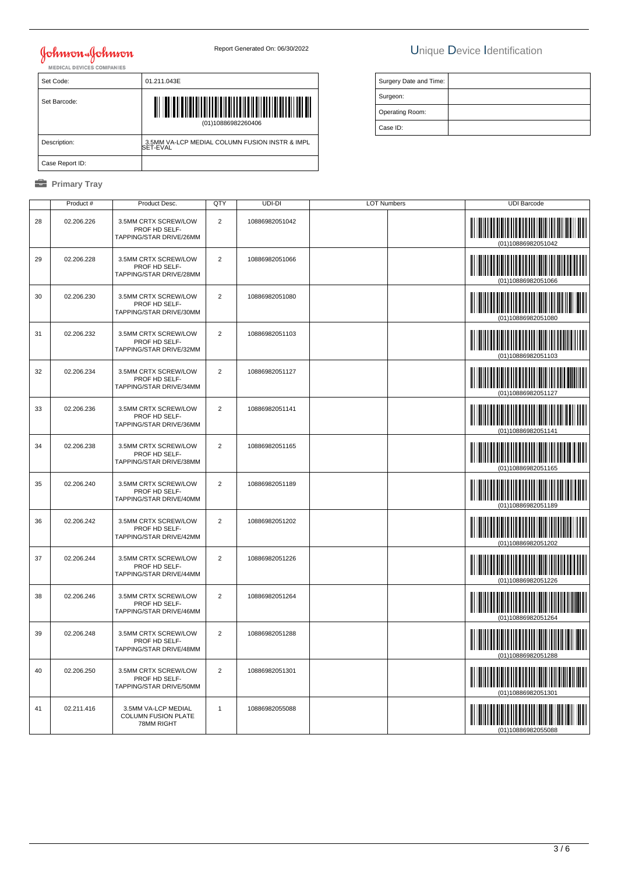# Johnson & Johnson<br>MEDICAL DEVICES COMPANIES

### Report Generated On: 06/30/2022 Unique Device Identification

Surgery Date and Time:

 Surgeon: Operating Room: Case ID:

| Set Code:       | 01.211.043E                                                |  |  |
|-----------------|------------------------------------------------------------|--|--|
| Set Barcode:    | <b>TIME AND AND A</b><br>(01)10886982260406                |  |  |
| Description:    | 3.5MM VA-LCP MEDIAL COLUMN FUSION INSTR & IMPL<br>SET-EVAL |  |  |
| Case Report ID: |                                                            |  |  |

|    | Product #  | Product Desc.                                                    | QTY            | UDI-DI         | <b>LOT Numbers</b> | <b>UDI Barcode</b>                          |
|----|------------|------------------------------------------------------------------|----------------|----------------|--------------------|---------------------------------------------|
| 28 | 02.206.226 | 3.5MM CRTX SCREW/LOW<br>PROF HD SELF-<br>TAPPING/STAR DRIVE/26MM | $\overline{2}$ | 10886982051042 |                    | (01)10886982051042                          |
| 29 | 02.206.228 | 3.5MM CRTX SCREW/LOW<br>PROF HD SELF-<br>TAPPING/STAR DRIVE/28MM | $\overline{2}$ | 10886982051066 |                    | <u> III maanda ka mid maalaa ka mid maa</u> |
| 30 | 02.206.230 | 3.5MM CRTX SCREW/LOW<br>PROF HD SELF-<br>TAPPING/STAR DRIVE/30MM | $\overline{2}$ | 10886982051080 |                    |                                             |
| 31 | 02.206.232 | 3.5MM CRTX SCREW/LOW<br>PROF HD SELF-<br>TAPPING/STAR DRIVE/32MM | $\overline{2}$ | 10886982051103 |                    |                                             |
| 32 | 02.206.234 | 3.5MM CRTX SCREW/LOW<br>PROF HD SELF-<br>TAPPING/STAR DRIVE/34MM | $\overline{2}$ | 10886982051127 |                    |                                             |
| 33 | 02.206.236 | 3.5MM CRTX SCREW/LOW<br>PROF HD SELF-<br>TAPPING/STAR DRIVE/36MM | $\overline{2}$ | 10886982051141 |                    |                                             |
| 34 | 02.206.238 | 3.5MM CRTX SCREW/LOW<br>PROF HD SELF-<br>TAPPING/STAR DRIVE/38MM | $\overline{2}$ | 10886982051165 |                    |                                             |
| 35 | 02.206.240 | 3.5MM CRTX SCREW/LOW<br>PROF HD SELF-<br>TAPPING/STAR DRIVE/40MM | $\overline{2}$ | 10886982051189 |                    |                                             |
| 36 | 02.206.242 | 3.5MM CRTX SCREW/LOW<br>PROF HD SELF-<br>TAPPING/STAR DRIVE/42MM | $\overline{2}$ | 10886982051202 |                    | (01)10886982051202                          |
| 37 | 02.206.244 | 3.5MM CRTX SCREW/LOW<br>PROF HD SELF-<br>TAPPING/STAR DRIVE/44MM | $\overline{2}$ | 10886982051226 |                    | (01)10886982051226                          |
| 38 | 02.206.246 | 3.5MM CRTX SCREW/LOW<br>PROF HD SELF-<br>TAPPING/STAR DRIVE/46MM | $\overline{2}$ | 10886982051264 |                    | (01)10886982051264                          |
| 39 | 02.206.248 | 3.5MM CRTX SCREW/LOW<br>PROF HD SELF-<br>TAPPING/STAR DRIVE/48MM | $\overline{2}$ | 10886982051288 |                    |                                             |
| 40 | 02.206.250 | 3.5MM CRTX SCREW/LOW<br>PROF HD SELF-<br>TAPPING/STAR DRIVE/50MM | $\overline{2}$ | 10886982051301 |                    | IIIII                                       |
| 41 | 02.211.416 | 3.5MM VA-LCP MEDIAL<br><b>COLUMN FUSION PLATE</b><br>78MM RIGHT  | $\mathbf{1}$   | 10886982055088 |                    |                                             |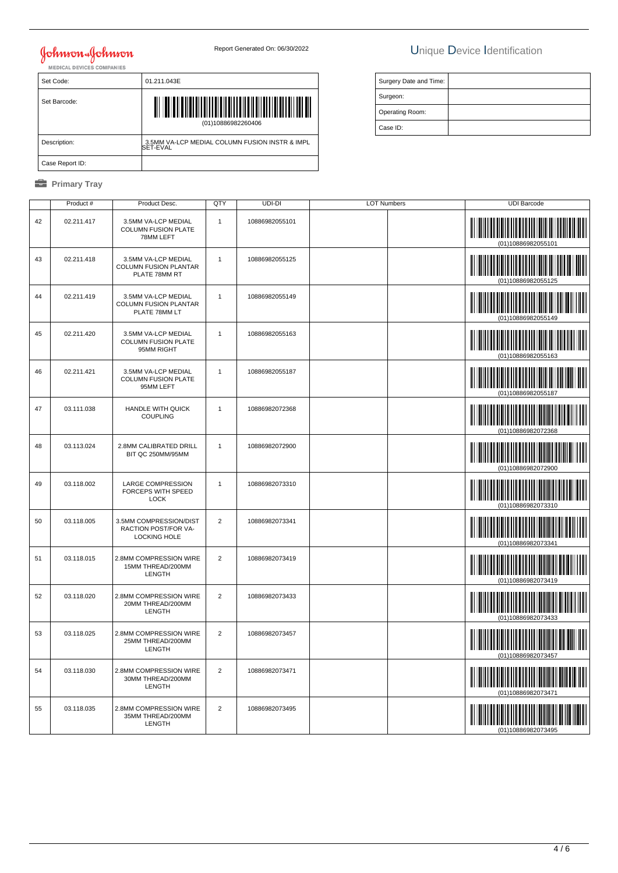# **Johnson & Johnson**

Set Barcode:

Set Code: 01.211.043E

(01)10886982260406

│ Description: | 3.5MM VA-LCP MEDIAL COLUMN FUSION INSTR & IMPL<br>SET-EVAL

#### Report Generated On: 06/30/2022 Unique Device Identification

| Surgery Date and Time: |  |
|------------------------|--|
| Surgeon:               |  |
| Operating Room:        |  |
| Case ID:               |  |

|    | Case Report ID:     |                                                                       |                |                |                    |                                                   |
|----|---------------------|-----------------------------------------------------------------------|----------------|----------------|--------------------|---------------------------------------------------|
|    | <b>Primary Tray</b> |                                                                       |                |                |                    |                                                   |
|    | Product#            | Product Desc.                                                         | QTY            | UDI-DI         | <b>LOT Numbers</b> | <b>UDI Barcode</b>                                |
| 42 | 02.211.417          | 3.5MM VA-LCP MEDIAL<br>COLUMN FUSION PLATE<br>78MM LEFT               | $\mathbf{1}$   | 10886982055101 |                    | (01)10886982055101                                |
| 43 | 02.211.418          | 3.5MM VA-LCP MEDIAL<br>COLUMN FUSION PLANTAR<br>PLATE 78MM RT         | $\mathbf{1}$   | 10886982055125 |                    | <u> III martin ma'lumot</u><br>(01)10886982055125 |
| 44 | 02.211.419          | 3.5MM VA-LCP MEDIAL<br>COLUMN FUSION PLANTAR<br>PLATE 78MM LT         | $\mathbf{1}$   | 10886982055149 |                    | (01)10886982055149                                |
| 45 | 02.211.420          | 3.5MM VA-LCP MEDIAL<br>COLUMN FUSION PLATE<br>95MM RIGHT              | $\mathbf{1}$   | 10886982055163 |                    | (01)10886982055163                                |
| 46 | 02.211.421          | 3.5MM VA-LCP MEDIAL<br>COLUMN FUSION PLATE<br>95MM LEFT               | 1              | 10886982055187 |                    | (01)10886982055187                                |
| 47 | 03.111.038          | <b>HANDLE WITH QUICK</b><br><b>COUPLING</b>                           | $\mathbf{1}$   | 10886982072368 |                    | <u> III martin sa</u><br>(01)10886982072368       |
| 48 | 03.113.024          | 2.8MM CALIBRATED DRILL<br>BIT QC 250MM/95MM                           | $\mathbf{1}$   | 10886982072900 |                    | (01)10886982072900                                |
| 49 | 03.118.002          | <b>LARGE COMPRESSION</b><br>FORCEPS WITH SPEED<br><b>LOCK</b>         | $\mathbf{1}$   | 10886982073310 |                    | (01)10886982073310                                |
| 50 | 03.118.005          | 3.5MM COMPRESSION/DIST<br>RACTION POST/FOR VA-<br><b>LOCKING HOLE</b> | $\overline{2}$ | 10886982073341 |                    | <u> Hillingan k</u><br>(01)10886982073341         |
| 51 | 03.118.015          | 2.8MM COMPRESSION WIRE<br>15MM THREAD/200MM<br>LENGTH                 | $\overline{2}$ | 10886982073419 |                    | (01)10886982073419                                |
| 52 | 03.118.020          | 2.8MM COMPRESSION WIRE<br>20MM THREAD/200MM<br>LENGTH                 | $\overline{2}$ | 10886982073433 |                    | <u> III martin ma'lumot</u><br>(01)10886982073433 |
| 53 | 03.118.025          | 2.8MM COMPRESSION WIRE<br>25MM THREAD/200MM<br>LENGTH                 | $\overline{2}$ | 10886982073457 |                    | (01)10886982073457                                |
| 54 | 03.118.030          | 2.8MM COMPRESSION WIRE<br>30MM THREAD/200MM<br>LENGTH                 | $\overline{2}$ | 10886982073471 |                    | (01)10886982073471                                |
| 55 | 03.118.035          | 2.8MM COMPRESSION WIRE<br>35MM THREAD/200MM<br>LENGTH                 | $\overline{2}$ | 10886982073495 |                    | 01)10886982073495                                 |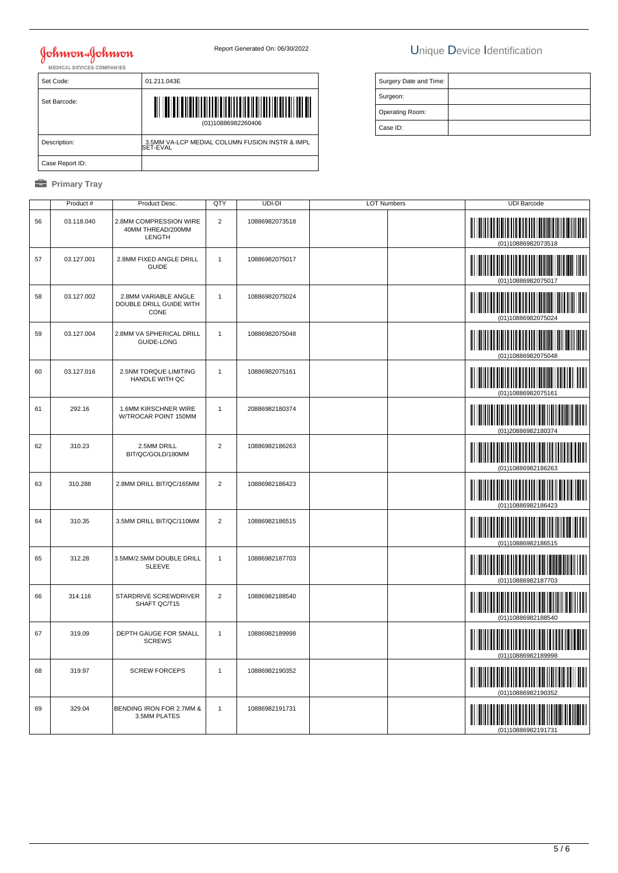## Johnson Johnson

### Report Generated On: 06/30/2022 Unique Device Identification

| Set Code:       | 01.211.043E                                                |
|-----------------|------------------------------------------------------------|
| Set Barcode:    | <u>                   </u><br>║║<br>(01)10886982260406     |
| Description:    | 3.5MM VA-LCP MEDIAL COLUMN FUSION INSTR & IMPL<br>SET-EVAL |
| Case Report ID: |                                                            |

| Surgery Date and Time: |  |
|------------------------|--|
| Surgeon:               |  |
| Operating Room:        |  |
| Case ID:               |  |

|    | Product #  | Product Desc.                                           | QTY            | UDI-DI         | <b>LOT Numbers</b> | <b>UDI Barcode</b>                                |
|----|------------|---------------------------------------------------------|----------------|----------------|--------------------|---------------------------------------------------|
| 56 | 03.118.040 | 2.8MM COMPRESSION WIRE<br>40MM THREAD/200MM<br>LENGTH   | $\overline{2}$ | 10886982073518 |                    | (01)10886982073518                                |
| 57 | 03.127.001 | 2.8MM FIXED ANGLE DRILL<br><b>GUIDE</b>                 | $\mathbf{1}$   | 10886982075017 |                    | <u> III martin ma'lumot</u>                       |
| 58 | 03.127.002 | 2.8MM VARIABLE ANGLE<br>DOUBLE DRILL GUIDE WITH<br>CONE | $\mathbf{1}$   | 10886982075024 |                    |                                                   |
| 59 | 03.127.004 | 2.8MM VA SPHERICAL DRILL<br><b>GUIDE-LONG</b>           | 1              | 10886982075048 |                    | (01)10886982075048                                |
| 60 | 03.127.016 | 2.5NM TORQUE LIMITING<br>HANDLE WITH QC                 | 1              | 10886982075161 |                    | (01)10886982075161                                |
| 61 | 292.16     | 1.6MM KIRSCHNER WIRE<br>W/TROCAR POINT 150MM            | $\mathbf{1}$   | 20886982180374 |                    | (01)20886982180374                                |
| 62 | 310.23     | 2.5MM DRILL<br>BIT/QC/GOLD/180MM                        | $\overline{2}$ | 10886982186263 |                    | (01)10886982186263                                |
| 63 | 310.288    | 2.8MM DRILL BIT/QC/165MM                                | $\overline{2}$ | 10886982186423 |                    |                                                   |
| 64 | 310.35     | 3.5MM DRILL BIT/QC/110MM                                | $\overline{2}$ | 10886982186515 |                    | (01)10886982186515                                |
| 65 | 312.28     | 3.5MM/2.5MM DOUBLE DRILL<br><b>SLEEVE</b>               | 1              | 10886982187703 |                    | (01)10886982187703                                |
| 66 | 314.116    | STARDRIVE SCREWDRIVER<br>SHAFT QC/T15                   | $\overline{2}$ | 10886982188540 |                    | (01)10886982188540                                |
| 67 | 319.09     | DEPTH GAUGE FOR SMALL<br><b>SCREWS</b>                  | $\overline{1}$ | 10886982189998 |                    | <u> III martin ma'lumot</u><br>(01)10886982189998 |
| 68 | 319.97     | <b>SCREW FORCEPS</b>                                    | $\mathbf{1}$   | 10886982190352 |                    |                                                   |
| 69 | 329.04     | BENDING IRON FOR 2.7MM &<br>3.5MM PLATES                | $\mathbf{1}$   | 10886982191731 |                    | (01)10886982191731                                |